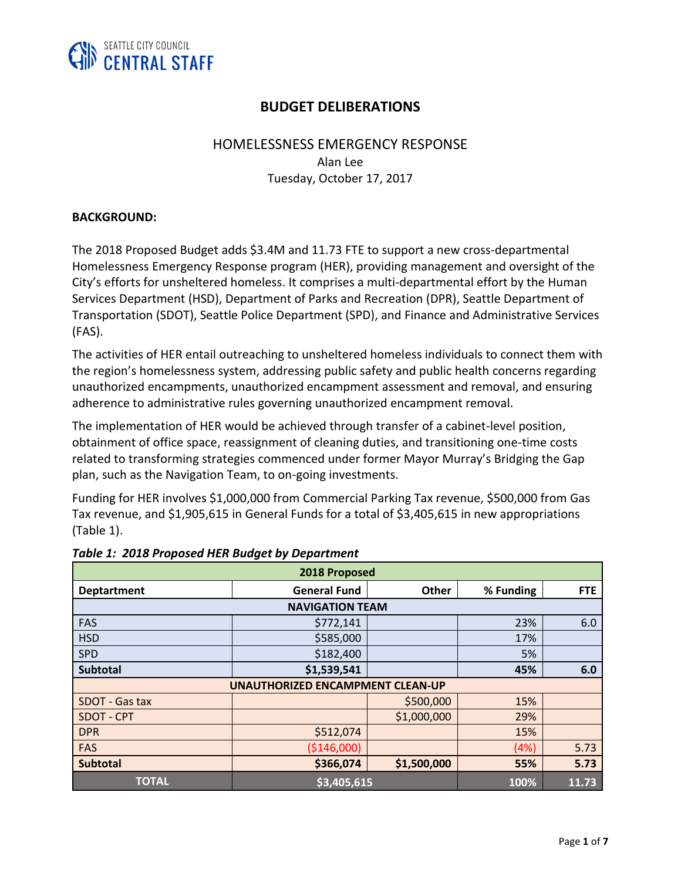

# **BUDGET DELIBERATIONS**

## HOMELESSNESS EMERGENCY RESPONSE

Alan Lee Tuesday, October 17, 2017

#### **BACKGROUND:**

The 2018 Proposed Budget adds \$3.4M and 11.73 FTE to support a new cross-departmental Homelessness Emergency Response program (HER), providing management and oversight of the City's efforts for unsheltered homeless. It comprises a multi-departmental effort by the Human Services Department (HSD), Department of Parks and Recreation (DPR), Seattle Department of Transportation (SDOT), Seattle Police Department (SPD), and Finance and Administrative Services (FAS).

The activities of HER entail outreaching to unsheltered homeless individuals to connect them with the region's homelessness system, addressing public safety and public health concerns regarding unauthorized encampments, unauthorized encampment assessment and removal, and ensuring adherence to administrative rules governing unauthorized encampment removal.

The implementation of HER would be achieved through transfer of a cabinet-level position, obtainment of office space, reassignment of cleaning duties, and transitioning one-time costs related to transforming strategies commenced under former Mayor Murray's Bridging the Gap plan, such as the Navigation Team, to on-going investments.

Funding for HER involves \$1,000,000 from Commercial Parking Tax revenue, \$500,000 from Gas Tax revenue, and \$1,905,615 in General Funds for a total of \$3,405,615 in new appropriations (Table 1).

| 2018 Proposed                           |                     |              |           |            |  |
|-----------------------------------------|---------------------|--------------|-----------|------------|--|
| <b>Deptartment</b>                      | <b>General Fund</b> | <b>Other</b> | % Funding | <b>FTE</b> |  |
| <b>NAVIGATION TEAM</b>                  |                     |              |           |            |  |
| <b>FAS</b>                              | \$772,141           |              | 23%       | 6.0        |  |
| <b>HSD</b>                              | \$585,000           |              | 17%       |            |  |
| <b>SPD</b>                              | \$182,400           |              | 5%        |            |  |
| <b>Subtotal</b>                         | \$1,539,541         |              | 45%       | 6.0        |  |
| <b>UNAUTHORIZED ENCAMPMENT CLEAN-UP</b> |                     |              |           |            |  |
| SDOT - Gas tax                          |                     | \$500,000    | 15%       |            |  |
| <b>SDOT - CPT</b>                       |                     | \$1,000,000  | 29%       |            |  |
| <b>DPR</b>                              | \$512,074           |              | 15%       |            |  |
| <b>FAS</b>                              | ( \$146,000)        |              | (4%)      | 5.73       |  |
| <b>Subtotal</b>                         | \$366,074           | \$1,500,000  | 55%       | 5.73       |  |
| <b>TOTAL</b>                            | \$3,405,615         |              | 100%      | 11.73      |  |

#### *Table 1: 2018 Proposed HER Budget by Department*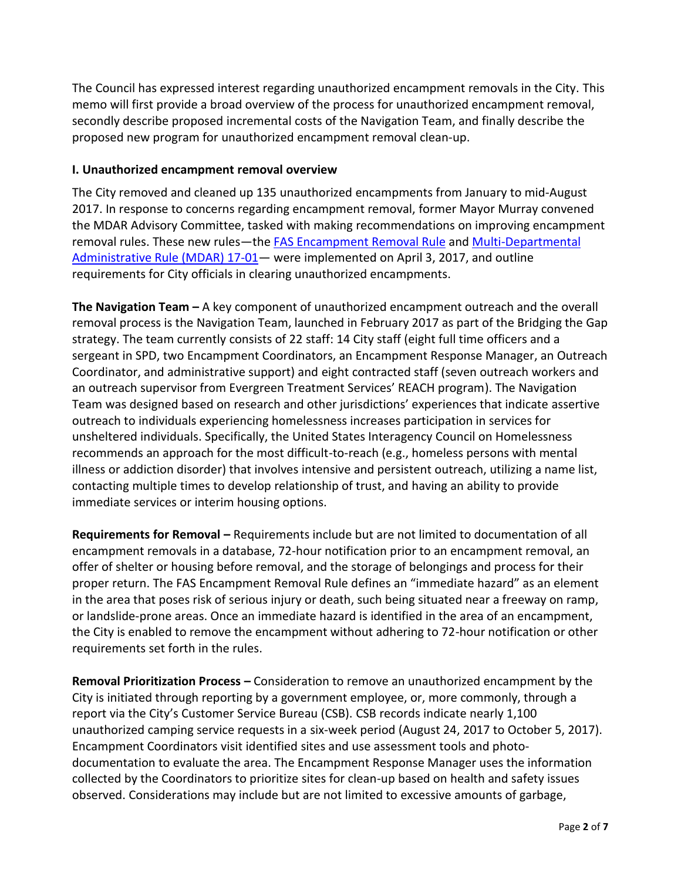The Council has expressed interest regarding unauthorized encampment removals in the City. This memo will first provide a broad overview of the process for unauthorized encampment removal, secondly describe proposed incremental costs of the Navigation Team, and finally describe the proposed new program for unauthorized encampment removal clean-up.

#### **I. Unauthorized encampment removal overview**

The City removed and cleaned up 135 unauthorized encampments from January to mid-August 2017. In response to concerns regarding encampment removal, former Mayor Murray convened the MDAR Advisory Committee, tasked with making recommendations on improving encampment removal rules. These new rules—the [FAS Encampment Removal Rule](https://www.seattle.gov/finance-and-administrative-services/directors-rules) and Multi-Departmental [Administrative Rule](https://www.seattle.gov/finance-and-administrative-services/directors-rules) (MDAR) 17-01 - were implemented on April 3, 2017, and outline requirements for City officials in clearing unauthorized encampments.

**The Navigation Team –** A key component of unauthorized encampment outreach and the overall removal process is the Navigation Team, launched in February 2017 as part of the Bridging the Gap strategy. The team currently consists of 22 staff: 14 City staff (eight full time officers and a sergeant in SPD, two Encampment Coordinators, an Encampment Response Manager, an Outreach Coordinator, and administrative support) and eight contracted staff (seven outreach workers and an outreach supervisor from Evergreen Treatment Services' REACH program). The Navigation Team was designed based on research and other jurisdictions' experiences that indicate assertive outreach to individuals experiencing homelessness increases participation in services for unsheltered individuals. Specifically, the United States Interagency Council on Homelessness recommends an approach for the most difficult-to-reach (e.g., homeless persons with mental illness or addiction disorder) that involves intensive and persistent outreach, utilizing a name list, contacting multiple times to develop relationship of trust, and having an ability to provide immediate services or interim housing options.

**Requirements for Removal –** Requirements include but are not limited to documentation of all encampment removals in a database, 72-hour notification prior to an encampment removal, an offer of shelter or housing before removal, and the storage of belongings and process for their proper return. The FAS Encampment Removal Rule defines an "immediate hazard" as an element in the area that poses risk of serious injury or death, such being situated near a freeway on ramp, or landslide-prone areas. Once an immediate hazard is identified in the area of an encampment, the City is enabled to remove the encampment without adhering to 72-hour notification or other requirements set forth in the rules.

**Removal Prioritization Process –** Consideration to remove an unauthorized encampment by the City is initiated through reporting by a government employee, or, more commonly, through a report via the City's Customer Service Bureau (CSB). CSB records indicate nearly 1,100 unauthorized camping service requests in a six-week period (August 24, 2017 to October 5, 2017). Encampment Coordinators visit identified sites and use assessment tools and photodocumentation to evaluate the area. The Encampment Response Manager uses the information collected by the Coordinators to prioritize sites for clean-up based on health and safety issues observed. Considerations may include but are not limited to excessive amounts of garbage,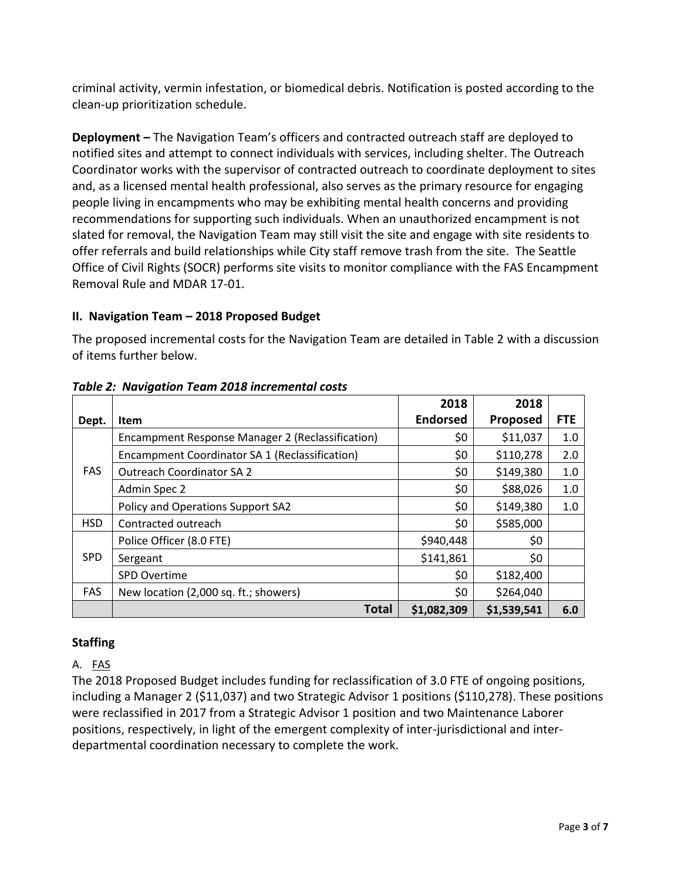criminal activity, vermin infestation, or biomedical debris. Notification is posted according to the clean-up prioritization schedule.

**Deployment –** The Navigation Team's officers and contracted outreach staff are deployed to notified sites and attempt to connect individuals with services, including shelter. The Outreach Coordinator works with the supervisor of contracted outreach to coordinate deployment to sites and, as a licensed mental health professional, also serves as the primary resource for engaging people living in encampments who may be exhibiting mental health concerns and providing recommendations for supporting such individuals. When an unauthorized encampment is not slated for removal, the Navigation Team may still visit the site and engage with site residents to offer referrals and build relationships while City staff remove trash from the site. The Seattle Office of Civil Rights (SOCR) performs site visits to monitor compliance with the FAS Encampment Removal Rule and MDAR 17-01.

### **II. Navigation Team – 2018 Proposed Budget**

The proposed incremental costs for the Navigation Team are detailed in Table 2 with a discussion of items further below.

|            |                                                  | 2018            | 2018        |            |
|------------|--------------------------------------------------|-----------------|-------------|------------|
| Dept.      | Item                                             | <b>Endorsed</b> | Proposed    | <b>FTE</b> |
| <b>FAS</b> | Encampment Response Manager 2 (Reclassification) | \$0             | \$11,037    | 1.0        |
|            | Encampment Coordinator SA 1 (Reclassification)   | \$0             | \$110,278   | 2.0        |
|            | <b>Outreach Coordinator SA 2</b>                 | \$0             | \$149,380   | 1.0        |
|            | Admin Spec 2                                     | \$0             | \$88,026    | 1.0        |
|            | Policy and Operations Support SA2                | \$0             | \$149,380   | 1.0        |
| <b>HSD</b> | Contracted outreach                              | \$0             | \$585,000   |            |
| <b>SPD</b> | Police Officer (8.0 FTE)                         | \$940,448       | \$0         |            |
|            | Sergeant                                         | \$141,861       | \$0         |            |
|            | <b>SPD Overtime</b>                              | \$0             | \$182,400   |            |
| <b>FAS</b> | New location (2,000 sq. ft.; showers)            | \$0             | \$264,040   |            |
|            | <b>Total</b>                                     | \$1,082,309     | \$1,539,541 | 6.0        |

*Table 2: Navigation Team 2018 incremental costs*

## **Staffing**

## A. FAS

The 2018 Proposed Budget includes funding for reclassification of 3.0 FTE of ongoing positions, including a Manager 2 (\$11,037) and two Strategic Advisor 1 positions (\$110,278). These positions were reclassified in 2017 from a Strategic Advisor 1 position and two Maintenance Laborer positions, respectively, in light of the emergent complexity of inter-jurisdictional and interdepartmental coordination necessary to complete the work.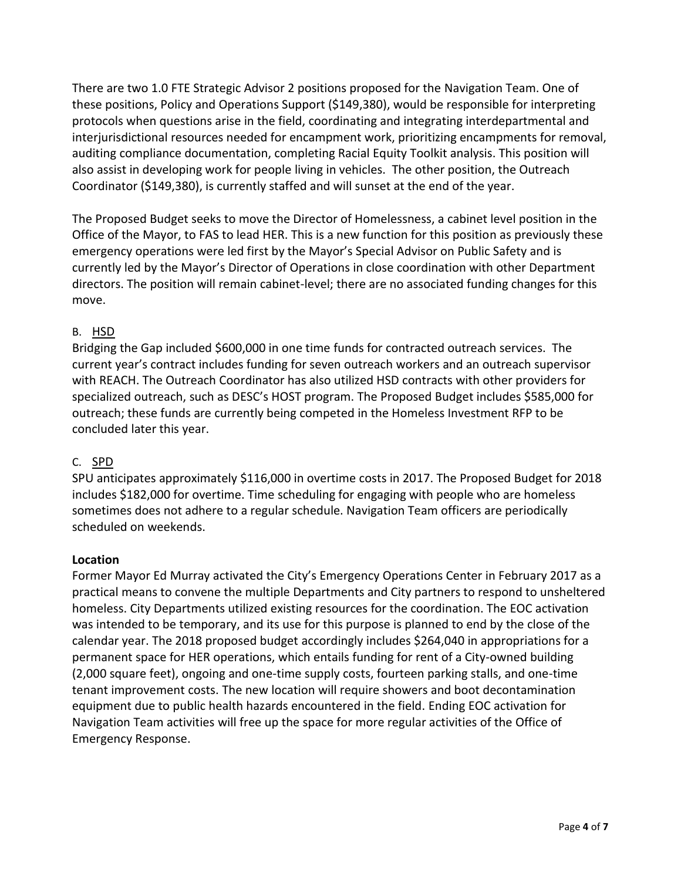There are two 1.0 FTE Strategic Advisor 2 positions proposed for the Navigation Team. One of these positions, Policy and Operations Support (\$149,380), would be responsible for interpreting protocols when questions arise in the field, coordinating and integrating interdepartmental and interjurisdictional resources needed for encampment work, prioritizing encampments for removal, auditing compliance documentation, completing Racial Equity Toolkit analysis. This position will also assist in developing work for people living in vehicles. The other position, the Outreach Coordinator (\$149,380), is currently staffed and will sunset at the end of the year.

The Proposed Budget seeks to move the Director of Homelessness, a cabinet level position in the Office of the Mayor, to FAS to lead HER. This is a new function for this position as previously these emergency operations were led first by the Mayor's Special Advisor on Public Safety and is currently led by the Mayor's Director of Operations in close coordination with other Department directors. The position will remain cabinet-level; there are no associated funding changes for this move.

#### B. HSD

Bridging the Gap included \$600,000 in one time funds for contracted outreach services. The current year's contract includes funding for seven outreach workers and an outreach supervisor with REACH. The Outreach Coordinator has also utilized HSD contracts with other providers for specialized outreach, such as DESC's HOST program. The Proposed Budget includes \$585,000 for outreach; these funds are currently being competed in the Homeless Investment RFP to be concluded later this year.

#### C. SPD

SPU anticipates approximately \$116,000 in overtime costs in 2017. The Proposed Budget for 2018 includes \$182,000 for overtime. Time scheduling for engaging with people who are homeless sometimes does not adhere to a regular schedule. Navigation Team officers are periodically scheduled on weekends.

#### **Location**

Former Mayor Ed Murray activated the City's Emergency Operations Center in February 2017 as a practical means to convene the multiple Departments and City partners to respond to unsheltered homeless. City Departments utilized existing resources for the coordination. The EOC activation was intended to be temporary, and its use for this purpose is planned to end by the close of the calendar year. The 2018 proposed budget accordingly includes \$264,040 in appropriations for a permanent space for HER operations, which entails funding for rent of a City-owned building (2,000 square feet), ongoing and one-time supply costs, fourteen parking stalls, and one-time tenant improvement costs. The new location will require showers and boot decontamination equipment due to public health hazards encountered in the field. Ending EOC activation for Navigation Team activities will free up the space for more regular activities of the Office of Emergency Response.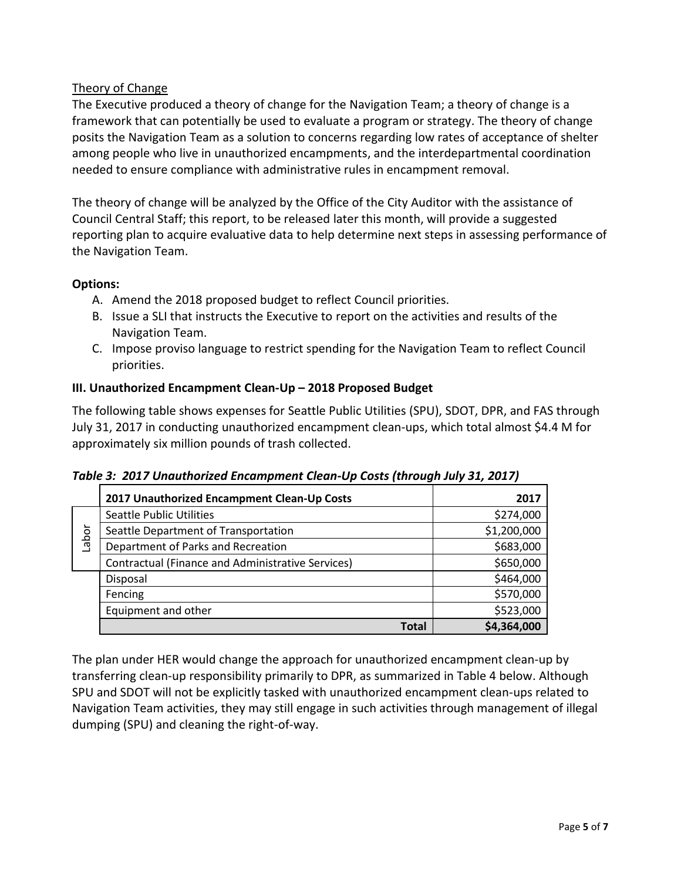## Theory of Change

The Executive produced a theory of change for the Navigation Team; a theory of change is a framework that can potentially be used to evaluate a program or strategy. The theory of change posits the Navigation Team as a solution to concerns regarding low rates of acceptance of shelter among people who live in unauthorized encampments, and the interdepartmental coordination needed to ensure compliance with administrative rules in encampment removal.

The theory of change will be analyzed by the Office of the City Auditor with the assistance of Council Central Staff; this report, to be released later this month, will provide a suggested reporting plan to acquire evaluative data to help determine next steps in assessing performance of the Navigation Team.

### **Options:**

- A. Amend the 2018 proposed budget to reflect Council priorities.
- B. Issue a SLI that instructs the Executive to report on the activities and results of the Navigation Team.
- C. Impose proviso language to restrict spending for the Navigation Team to reflect Council priorities.

### **III. Unauthorized Encampment Clean-Up – 2018 Proposed Budget**

The following table shows expenses for Seattle Public Utilities (SPU), SDOT, DPR, and FAS through July 31, 2017 in conducting unauthorized encampment clean-ups, which total almost \$4.4 M for approximately six million pounds of trash collected.

|       | 2017 Unauthorized Encampment Clean-Up Costs       | 2017        |
|-------|---------------------------------------------------|-------------|
| Labor | <b>Seattle Public Utilities</b>                   | \$274,000   |
|       | Seattle Department of Transportation              | \$1,200,000 |
|       | Department of Parks and Recreation                | \$683,000   |
|       | Contractual (Finance and Administrative Services) | \$650,000   |
|       | Disposal                                          | \$464,000   |
|       | Fencing                                           | \$570,000   |
|       | Equipment and other                               | \$523,000   |
|       | Total                                             | \$4,364,000 |

| Table 3: 2017 Unauthorized Encampment Clean-Up Costs (through July 31, 2017) |  |  |
|------------------------------------------------------------------------------|--|--|
|                                                                              |  |  |

The plan under HER would change the approach for unauthorized encampment clean-up by transferring clean-up responsibility primarily to DPR, as summarized in Table 4 below. Although SPU and SDOT will not be explicitly tasked with unauthorized encampment clean-ups related to Navigation Team activities, they may still engage in such activities through management of illegal dumping (SPU) and cleaning the right-of-way.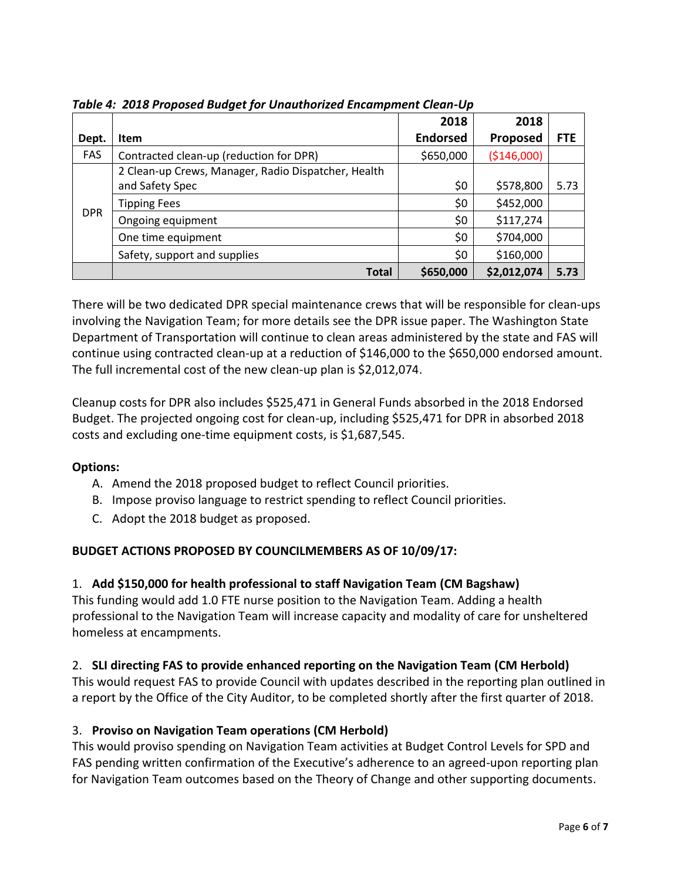|            |                                                     | 2018            | 2018         |            |
|------------|-----------------------------------------------------|-----------------|--------------|------------|
| Dept.      | <b>Item</b>                                         | <b>Endorsed</b> | Proposed     | <b>FTE</b> |
| FAS        | Contracted clean-up (reduction for DPR)             | \$650,000       | ( \$146,000) |            |
| <b>DPR</b> | 2 Clean-up Crews, Manager, Radio Dispatcher, Health |                 |              |            |
|            | and Safety Spec                                     | \$0             | \$578,800    | 5.73       |
|            | <b>Tipping Fees</b>                                 | \$0             | \$452,000    |            |
|            | Ongoing equipment                                   | \$0             | \$117,274    |            |
|            | One time equipment                                  | \$0             | \$704,000    |            |
|            | Safety, support and supplies                        | \$0             | \$160,000    |            |
|            | <b>Total</b>                                        | \$650,000       | \$2,012,074  | 5.73       |

*Table 4: 2018 Proposed Budget for Unauthorized Encampment Clean-Up*

There will be two dedicated DPR special maintenance crews that will be responsible for clean-ups involving the Navigation Team; for more details see the DPR issue paper. The Washington State Department of Transportation will continue to clean areas administered by the state and FAS will continue using contracted clean-up at a reduction of \$146,000 to the \$650,000 endorsed amount. The full incremental cost of the new clean-up plan is \$2,012,074.

Cleanup costs for DPR also includes \$525,471 in General Funds absorbed in the 2018 Endorsed Budget. The projected ongoing cost for clean-up, including \$525,471 for DPR in absorbed 2018 costs and excluding one-time equipment costs, is \$1,687,545.

## **Options:**

- A. Amend the 2018 proposed budget to reflect Council priorities.
- B. Impose proviso language to restrict spending to reflect Council priorities.
- C. Adopt the 2018 budget as proposed.

## **BUDGET ACTIONS PROPOSED BY COUNCILMEMBERS AS OF 10/09/17:**

## 1. **Add \$150,000 for health professional to staff Navigation Team (CM Bagshaw)**

This funding would add 1.0 FTE nurse position to the Navigation Team. Adding a health professional to the Navigation Team will increase capacity and modality of care for unsheltered homeless at encampments.

## 2. **SLI directing FAS to provide enhanced reporting on the Navigation Team (CM Herbold)**

This would request FAS to provide Council with updates described in the reporting plan outlined in a report by the Office of the City Auditor, to be completed shortly after the first quarter of 2018.

## 3. **Proviso on Navigation Team operations (CM Herbold)**

This would proviso spending on Navigation Team activities at Budget Control Levels for SPD and FAS pending written confirmation of the Executive's adherence to an agreed-upon reporting plan for Navigation Team outcomes based on the Theory of Change and other supporting documents.